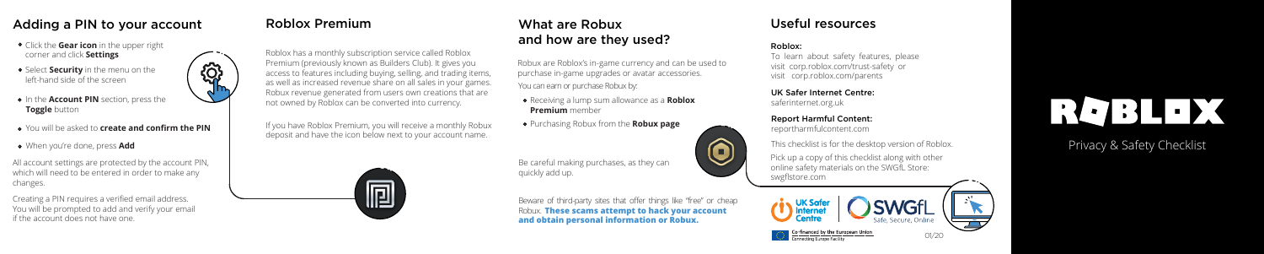#### Privacy & Safety Checklist

Beware of third-party sites that offer things like "free" or cheap Robux. **These scams attempt to hack your account and obtain personal information or Robux.**



#### What are Robux and how are they used?

Pick up a copy of this checklist along with other online safety materials on the SWGfL Store: swgflstore.com

Roblox:

To learn about safety features, please visit corp.roblox.com/trust-safety or visit corp.roblox.com/parents

#### UK Safer Internet Centre:

Robux are Roblox's in-game currency and can be used to purchase in-game upgrades or avatar accessories. You can earn or purchase Robux by:

saferinternet.org.uk

#### Report Harmful Content:

reportharmfulcontent.com

- Receiving a lump sum allowance as a **Roblox Premium** member
- Purchasing Robux from the **Robux page**

### Adding a PIN to your account and Roblox Premium and More in the What are Robux and Useful resources

- Click the **Gear icon** in the upper right corner and click **Settings**
- Select **Security** in the menu on the left-hand side of the screen
- **•** In the **Account PIN** section, press the **Toggle** button
- You will be asked to **create and confirm the PIN**

6

- When you're done, press **Add**
- All account settings are protected by the account PIN, which will need to be entered in order to make any changes.





#### Roblox Premium

Roblox has a monthly subscription service called Roblox Premium (previously known as Builders Club). It gives you access to features including buying, selling, and trading items, as well as increased revenue share on all sales in your games. Robux revenue generated from users own creations that are not owned by Roblox can be converted into currency.

> Be careful making purchases, as they can quickly add up.

If you have Roblox Premium, you will receive a monthly Robux deposit and have the icon below next to your account name.



This checklist is for the desktop version of Roblox.

# RGBLEX

Creating a PIN requires a verified email address. You will be prompted to add and verify your email if the account does not have one.